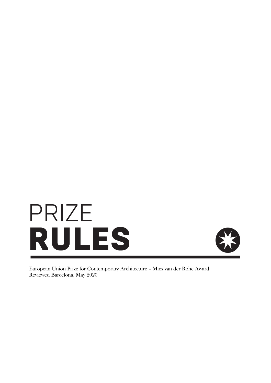



European Union Prize for Contemporary Architecture – Mies van der Rohe Award Reviewed Barcelona, May 2020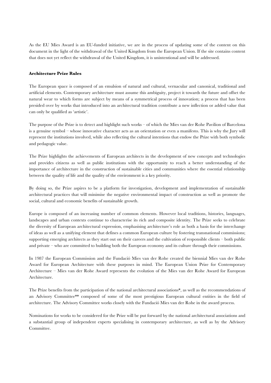As the EU Mies Award is an EU-funded initiative, we are in the process of updating some of the content on this document in the light of the withdrawal of the United Kingdom from the European Union. If the site contains content that does not yet reflect the withdrawal of the United Kingdom, it is unintentional and will be addressed.

## **Architecture Prize Rules**

The European space is composed of an emulsion of natural and cultural, vernacular and canonical, traditional and artificial elements. Contemporary architecture must assume this ambiguity, project it towards the future and offset the natural wear to which forms are subject by means of a symmetrical process of innovation; a process that has been presided over by works that introduced into an architectural tradition contribute a new inflection or added value that can only be qualified as 'artistic'.

The purpose of the Prize is to detect and highlight such works – of which the Mies van der Rohe Pavilion of Barcelona is a genuine symbol – whose innovative character acts as an orientation or even a manifesto. This is why the Jury will represent the institutions involved, while also reflecting the cultural intentions that endow the Prize with both symbolic and pedagogic value.

The Prize highlights the achievements of European architects in the development of new concepts and technologies and provides citizens as well as public institutions with the opportunity to reach a better understanding of the importance of architecture in the construction of sustainable cities and communities where the essential relationship between the quality of life and the quality of the environment is a key priority.

By doing so, the Prize aspires to be a platform for investigation, development and implementation of sustainable architectural practices that will minimise the negative environmental impact of construction as well as promote the social, cultural and economic benefits of sustainable growth.

Europe is composed of an increasing number of common elements. However local traditions, histories, languages, landscapes and urban contexts continue to characterise its rich and composite identity. The Prize seeks to celebrate the diversity of European architectural expression, emphasising architecture's role as both a basis for the interchange of ideas as well as a unifying element that defines a common European culture by fostering transnational commissions; supporting emerging architects as they start out on their careers and the cultivation of responsible clients – both public and private – who are committed to building both the European economy and its culture through their commissions.

In 1987 the European Commission and the Fundació Mies van der Rohe created the biennial Mies van der Rohe Award for European Architecture with these purposes in mind. The European Union Prize for Contemporary Architecture – Mies van der Rohe Award represents the evolution of the Mies van der Rohe Award for European Architecture.

The Prize benefits from the participation of the national architectural associations\*, as well as the recommendations of an Advisory Committee\*\* composed of some of the most prestigious European cultural entities in the field of architecture. The Advisory Committee works closely with the Fundació Mies van der Rohe in the award process.

Nominations for works to be considered for the Prize will be put forward by the national architectural associations and a substantial group of independent experts specialising in contemporary architecture, as well as by the Advisory Committee.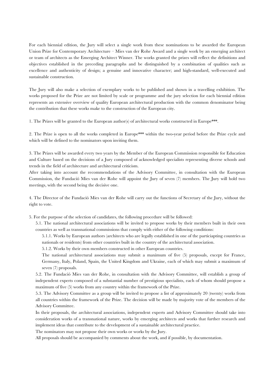For each biennial edition, the Jury will select a single work from these nominations to be awarded the European Union Prize for Contemporary Architecture – Mies van der Rohe Award and a single work by an emerging architect or team of architects as the Emerging Architect Winner. The works granted the prizes will reflect the definitions and objectives established in the preceding paragraphs and be distinguished by a combination of qualities such as excellence and authenticity of design; a genuine and innovative character; and high-standard, well-executed and sustainable construction.

The Jury will also make a selection of exemplary works to be published and shown in a travelling exhibition. The works proposed for the Prize are not limited by scale or programme and the jury selection for each biennial edition represents an extensive overview of quality European architectural production with the common denominator being the contribution that these works make to the construction of the European city.

1. The Prizes will be granted to the European author(s) of architectural works constructed in Europe\*\*\*.

2. The Prize is open to all the works completed in Europe\*\*\* within the two-year period before the Prize cycle and which will be defined to the nominators upon inviting them.

3. The Prizes will be awarded every two years by the Member of the European Commission responsible for Education and Culture based on the decisions of a Jury composed of acknowledged specialists representing diverse schools and trends in the field of architecture and architectural criticism.

After taking into account the recommendations of the Advisory Committee, in consultation with the European Commission, the Fundació Mies van der Rohe will appoint the Jury of seven (7) members. The Jury will hold two meetings, with the second being the decisive one.

4. The Director of the Fundació Mies van der Rohe will carry out the functions of Secretary of the Jury, without the right to vote.

5. For the purpose of the selection of candidates, the following procedure will be followed:

5.1. The national architectural associations will be invited to propose works by their members built in their own countries as well as transnational commissions that comply with either of the following conditions:

5.1.1. Works by European authors (architects who are legally established in one of the particiapting countries as nationals or residents) from other countries built in the country of the architectural association.

5.1.2. Works by their own members constructed in other European countries.

The national architectural associations may submit a maximum of five (5) proposals, except for France, Germany, Italy, Poland, Spain, the United Kingdom and Ukraine, each of which may submit a maximum of seven (7) proposals.

5.2. The Fundació Mies van der Rohe, in consultation with the Advisory Committee, will establish a group of independent experts composed of a substantial number of prestigious specialists, each of whom should propose a maximum of five (5) works from any country within the framework of the Prize.

5.3. The Advisory Committee as a group will be invited to propose a list of approximately 20 (twenty) works from all countries within the framework of the Prize. The decision will be made by majority vote of the members of the Advisory Committee.

In their proposals, the architectural associations, independent experts and Advisory Committee should take into consideration works of a transnational nature, works by emerging architects and works that further research and implement ideas that contribute to the development of a sustainable architectural practice.

The nominators may not propose their own works or works by the Jury.

All proposals should be accompanied by comments about the work, and if possible, by documentation.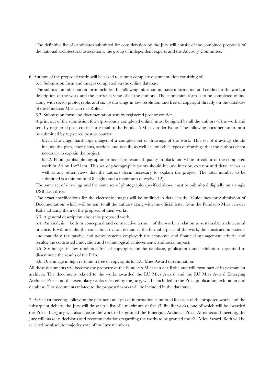The definitive list of candidates submitted for consideration by the Jury will consist of the combined proposals of the national architectural associations, the group of independent experts and the Advisory Committee.

6. Authors of the proposed works will be asked to submit complete documentation consisting of:

6.1. Submission form and images completed on the online database

The submission information form includes the following information: basic information and credits for the work, a description of the work and the curricula vitae of all the authors. The submission form is to be completed online along with six (6) photographs and six (6) drawings in low resolution and free of copyright directly on the database of the Fundació Mies van der Rohe.

6.2. Submission form and documentation sent by registered post or courier

A print out of the submission form (previously completed online) must be signed by all the authors of the work and sent by registered post, courier or e-mail to the Fundació Mies van der Rohe. The following documentation must be submitted by registered post or courier:

6.2.1. Drawings: hard-copy images of a complete set of drawings of the work. This set of drawings should include site plan, floor plans, sections and details, as well as any other types of drawings that the authors deem necessary to explain the project.

6.2.2. Photographs: photographic prints of professional quality in black and white or colour of the completed work in A4 or 18x24cm. This set of photographic prints should include interior, exterior and detail views as well as any other views that the authors deem necessary to explain the project. The total number to be submitted is a minimum of 8 (eight) and a maximum of twelve (12).

The same set of drawings and the same set of photographs specified above must be submitted digitally on a single USB flash drive.

The exact specifications for the electronic images will be outlined in detail in the 'Guidelines for Submission of Documentation' which will be sent to all the authors along with the official letter from the Fundació Mies van der Rohe advising them of the proposal of their works.

6.3. A general description about the proposed work.

6.4. An analysis – both in conceptual and constructive terms – of the work in relation to sustainable architectural practice. It will include: the conceptual overall decisions; the formal aspects of the work; the construction systems and materials; the passive and active systems employed; the economic and financial management criteria and results; the contrasted innovation and technological achievements; and social impact.

6.5. Six images in low resolution free of copyrights for the database, publications and exhibitions organised to disseminate the results of the Prize.

6.6. One image in high resolution free of copyrights for EU Mies Award dissemination.

All these documents will become the property of the Fundació Mies van der Rohe and will form part of its permanent archives. The documents related to the works awarded the EU Mies Award and the EU Mies Award Emerging Architect Prize and the exemplary works selected by the Jury, will be included in the Prize publication, exhibition and database. The documents related to the proposed works will be included in the database.

7. At its first meeting, following the pertinent analysis of information submitted for each of the proposed works and the subsequent debate, the Jury will draw up a list of a maximum of five (5) finalist works, one of which will be awarded the Prize. The Jury will also choose the work to be granted the Emerging Architect Prize. At its second meeting, the Jury will make its decisions and recommendations regarding the works to be granted the EU Mies Award. Both will be selected by absolute majority vote of the Jury members.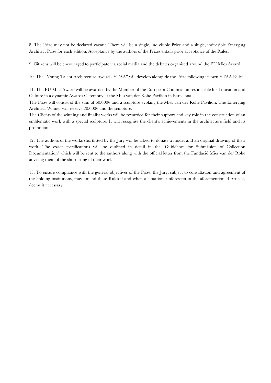8. The Prize may not be declared vacant. There will be a single, indivisible Prize and a single, indivisible Emerging Architect Prize for each edition. Acceptance by the authors of the Prizes entails prior acceptance of the Rules.

9. Citizens will be encouraged to participate via social media and the debates organised around the EU Mies Award.

10. The "Young Talent Architecture Award - YTAA" will develop alongside the Prize following its own YTAA Rules.

11. The EU Mies Award will be awarded by the Member of the European Commission responsible for Education and Culture in a dynamic Awards Ceremony at the Mies van der Rohe Pavilion in Barcelona.

The Prize will consist of the sum of 60.000€ and a sculpture evoking the Mies van der Rohe Pavilion. The Emerging Architect Winner will receive 20.000€ and the sculpture.

The Clients of the winning and finalist works will be rewarded for their support and key role in the construction of an emblematic work with a special sculpture. It will recognise the client's achievements in the architecture field and its promotion.

12. The authors of the works shortlisted by the Jury will be asked to donate a model and an original drawing of their work. The exact specifications will be outlined in detail in the 'Guidelines for Submission of Collection Documentation' which will be sent to the authors along with the official letter from the Fundació Mies van der Rohe advising them of the shortlisting of their works.

13. To ensure compliance with the general objectives of the Prize, the Jury, subject to consultation and agreement of the holding institutions, may amend these Rules if and when a situation, unforeseen in the aforementioned Articles, deems it necessary.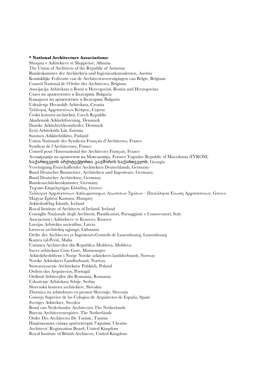## **\* National Architecture Associations:**

Shoqata e Arkitekteve të Shqipërisë, Albania The Union of Architects of the Republic of Armenia Bundeskammer der Architekten und Ingenieurkonsulenten, Austria Koninklijke Federatie van de Architectenverenigingen van Belgïe, Belgium Conseil National de l'Ordre des Architectes, Belgium Asocijacija Arhitekata u Bosni u Hercegovini, Bosnia and Herzegovina Съюз на архитектите в България, Bulgaria Камарата на архитектите в България, Bulgaria Udruženje Hrvatskih Arhitekata, Croatia Σύλλογος Αρχιτεκτόνων Κύπρου, Cyprus Česká komora architektů, Czech Republic Akademisk Arkitektforening, Denmark Danske Arkitektvirksomheder, Denmark Eesti Arhitektide Liit, Estonia Suomen Arkkitehtiliitto, Finland Union Nationale des Syndicats Français d'Architectes, France Syndicat de l'Architecture, France Conseil pour l'International des Architectes Français, France Асоцијација на архитекти на Македонија, Former Yugoslav Republic of Macedonia (FYROM) საქართველოს არქიტექტორთა კავშირის საქართველოს, Georgia Vereinigung Freischaffender Architekten Deutschlands, Germany Bund Deutscher Baumeister, Architekten und Ingenieure, Germany Bund Deutscher Architekten, Germany Bundesarchitektenkammer, Germany Τεχνικό Επιμελητήριο Ελλάδας, Greece Συλλογοσ Αρχιτεκτονων Διπλωματουχων Ανωτατων Σχολων – Πανελληνια Ενωση Αρχιτεκτονων, Greece Magyar Építész Kamara, Hungary Arkitektafélag Íslands, Iceland Royal Institute of Architects of Ireland, Ireland Consiglio Nazionale degli Architetti, Pianificatori, Paesaggistie e Conservatori, Italy Asociacioni i Arkitekteve te Kosoves, Kosovo Latvijas Arhitektu savienības, Latvia Lietuvos architektų sąjunga, Lithuania Ordre des Architectes et Ingénieurs-Conseils de Luxembourg, Luxembourg Kamra tal-Periti, Malta Uniunea Architecțlor din Republica Moldova, Moldova Savez arhitekata Crne Gore, Montenegro Arkitektbedriftene i Norge Norske arkitekters landsforbunds, Norway Norske Arkitekters Landforbund, Norway Stowarzyszenie Architektów Polskich, Poland Ordem dos Arquitectos, Portugal Ordinul Arhitecților din Romania, Romania Udruženje Arhitekata Srbije, Serbia Slovenská komora architektov, Slovakia Zbornica za arhitekturo en prostor Slovenije, Slovenia Consejo Superior de los Colegios de Arquitectos de España, Spain Sveriges Arkitekter, Sweden Bond van Nederlandse Architecten The Netherlands Bureau Architectenregister, The Netherlands Ordre Des Architectes De Tunisie, Tunisia Національна спілка архітекторів України, Ukraine Architects' Registration Board, United Kingdom Royal Institute of British Architects, United Kingdom